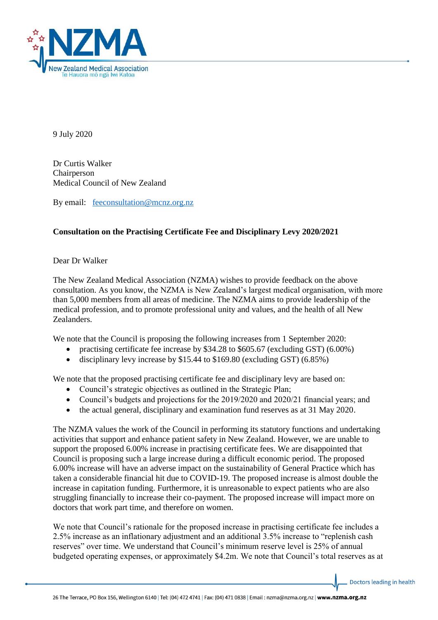

9 July 2020

Dr Curtis Walker Chairperson Medical Council of New Zealand

By email: [feeconsultation@mcnz.org.nz](mailto:feeconsultation@mcnz.org.nz)

## **Consultation on the Practising Certificate Fee and Disciplinary Levy 2020/2021**

Dear Dr Walker

The New Zealand Medical Association (NZMA) wishes to provide feedback on the above consultation. As you know, the NZMA is New Zealand's largest medical organisation, with more than 5,000 members from all areas of medicine. The NZMA aims to provide leadership of the medical profession, and to promote professional unity and values, and the health of all New Zealanders.

We note that the Council is proposing the following increases from 1 September 2020:

- practising certificate fee increase by \$34.28 to \$605.67 (excluding GST) (6.00%)
- disciplinary levy increase by \$15.44 to \$169.80 (excluding GST) (6.85%)

We note that the proposed practising certificate fee and disciplinary levy are based on:

- Council's strategic objectives as outlined in the Strategic Plan;
- Council's budgets and projections for the 2019/2020 and 2020/21 financial years; and
- the actual general, disciplinary and examination fund reserves as at 31 May 2020.

The NZMA values the work of the Council in performing its statutory functions and undertaking activities that support and enhance patient safety in New Zealand. However, we are unable to support the proposed 6.00% increase in practising certificate fees. We are disappointed that Council is proposing such a large increase during a difficult economic period. The proposed 6.00% increase will have an adverse impact on the sustainability of General Practice which has taken a considerable financial hit due to COVID-19. The proposed increase is almost double the increase in capitation funding. Furthermore, it is unreasonable to expect patients who are also struggling financially to increase their co-payment. The proposed increase will impact more on doctors that work part time, and therefore on women.

We note that Council's rationale for the proposed increase in practising certificate fee includes a 2.5% increase as an inflationary adjustment and an additional 3.5% increase to "replenish cash reserves" over time. We understand that Council's minimum reserve level is 25% of annual budgeted operating expenses, or approximately \$4.2m. We note that Council's total reserves as at

Doctors leading in health